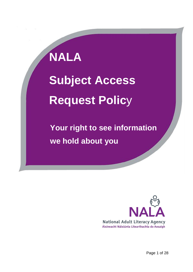# **NALA Subject Access Request Polic**y

 **Your right to see information we hold about you**



Page 1 of 28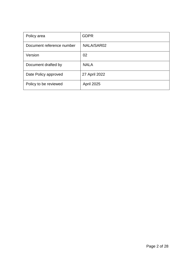| Policy area               | <b>GDPR</b>       |  |  |
|---------------------------|-------------------|--|--|
| Document reference number | NALA/SAR02        |  |  |
| Version                   | 02                |  |  |
| Document drafted by       | <b>NALA</b>       |  |  |
| Date Policy approved      | 27 April 2022     |  |  |
| Policy to be reviewed     | <b>April 2025</b> |  |  |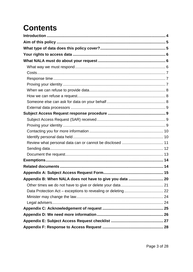## **Contents**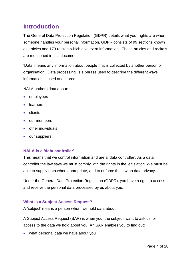## <span id="page-3-0"></span>**Introduction**

The General Data Protection Regulation (GDPR) details what your rights are when someone handles your personal information. GDPR consists of 99 sections known as articles and 173 recitals which give extra information. These articles and recitals are mentioned in this document.

'Data' means any information about people that is collected by another person or organisation. 'Data processing' is a phrase used to describe the different ways information is used and stored.

NALA gathers data about:

- employees
- **·** learners
- clients
- our members
- other individuals
- our suppliers.

#### **NALA is a 'data controller'**

This means that we control information and are a 'data controller'. As a data controller the law says we must comply with the rights in the legislation. We must be able to supply data when appropriate, and to enforce the law on data privacy.

Under the General Data Protection Regulation (GDPR), you have a right to access and receive the personal data processed by us about you.

#### **What is a Subject Access Request?**

A 'subject' means a person whom we hold data about.

A Subject Access Request (SAR) is when you, the subject, want to ask us for access to the data we hold about you. An SAR enables you to find out:

• what personal data we have about you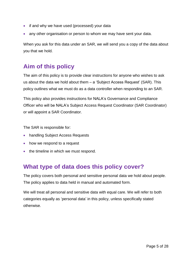- if and why we have used (processed) your data
- any other organisation or person to whom we may have sent your data.

When you ask for this data under an SAR, we will send you a copy of the data about you that we hold.

## <span id="page-4-0"></span>**Aim of this policy**

The aim of this policy is to provide clear instructions for anyone who wishes to ask us about the data we hold about them – a 'Subject Access Request' (SAR). This policy outlines what we must do as a data controller when responding to an SAR.

This policy also provides instructions for NALA's Governance and Compliance Officer who will be NALA's Subject Access Request Coordinator (SAR Coordinator) or will appoint a SAR Coordinator.

The SAR is responsible for:

- handling Subject Access Requests
- how we respond to a request
- the timeline in which we must respond.

## <span id="page-4-1"></span>**What type of data does this policy cover?**

The policy covers both personal and sensitive personal data we hold about people. The policy applies to data held in manual and automated form.

We will treat all personal and sensitive data with equal care. We will refer to both categories equally as 'personal data' in this policy, unless specifically stated otherwise.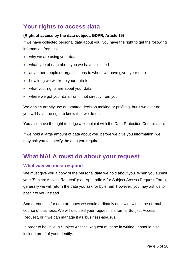## <span id="page-5-0"></span>**Your rights to access data**

#### **(Right of access by the data subject, GDPR, Article 15)**

If we have collected personal data about you, you have the right to get the following information from us:

- why we are using your data
- what type of data about you we have collected
- any other people or organisations to whom we have given your data
- how long we will keep your data for
- what your rights are about your data
- where we got your data from if not directly from you.

We don't currently use automated decision making or profiling, but if we ever do, you will have the right to know that we do this.

You also have the right to lodge a complaint with the Data Protection Commission.

If we hold a large amount of data about you, before we give you information, we may ask you to specify the data you require.

## <span id="page-5-1"></span>**What NALA must do about your request**

#### <span id="page-5-2"></span>**What way we must respond**

We must give you a copy of the personal data we hold about you. When you submit your 'Subject Access Request' (see Appendix A for Subject Access Request Form), generally we will return the data you ask for by email. However, you may ask us to post it to you instead.

Some requests for data are ones we would ordinarily deal with within the normal course of business. We will decide if your request is a formal Subject Access Request, or if we can manage it as 'business-as-usual'.

In order to be valid, a Subject Access Request must be in writing. It should also include proof of your identify.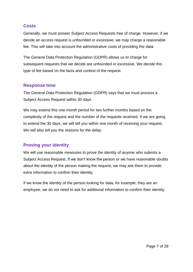#### <span id="page-6-0"></span>**Costs**

Generally, we must answer Subject Access Requests free of charge. However, if we decide an access request is unfounded or excessive, we may charge a reasonable fee. This will take into account the administrative costs of providing the data.

The General Data Protection Regulation (GDPR) allows us to charge for subsequent requests that we decide are unfounded or excessive. We decide this type of fee based on the facts and context of the request.

#### <span id="page-6-1"></span>**Response time**

The General Data Protection Regulation (GDPR) says that we must process a Subject Access Request within 30 days.

We may extend this one-month period for two further months based on the complexity of the request and the number of the requests received. If we are going to extend the 30 days, we will tell you within one month of receiving your request. We will also tell you the reasons for the delay.

#### <span id="page-6-2"></span>**Proving your identity**

We will use reasonable measures to prove the identity of anyone who submits a Subject Access Request. If we don't know the person or we have reasonable doubts about the identity of the person making the request, we may ask them to provide extra information to confirm their identity.

If we know the identity of the person looking for data, for example, they are an employee, we do not need to ask for additional information to confirm their identity.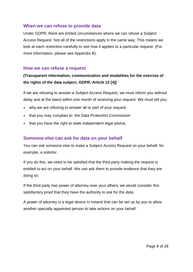#### <span id="page-7-0"></span>**When we can refuse to provide data**

Under GDPR, there are limited circumstances where we can refuse a Subject Access Request. Not all of the restrictions apply in the same way. This means we look at each restriction carefully to see how it applies to a particular request. (For more information, please see Appendix B).

#### <span id="page-7-1"></span>**How we can refuse a request**

#### **(Transparent information, communication and modalities for the exercise of the rights of the data subject, GDPR, Article 12 [4])**

If we are refusing to answer a Subject Access Request, we must inform you without delay and at the latest within one month of receiving your request. We must tell you:

- why we are refusing to answer all or part of your request
- that you may complain to the Data Protection Commission
- that you have the right to seek independent legal advice.

#### <span id="page-7-2"></span>**Someone else can ask for data on your behalf**

You can ask someone else to make a Subject Access Request on your behalf, for example, a solicitor.

If you do this, we need to be satisfied that the third party making the request is entitled to act on your behalf. We can ask them to provide evidence that they are doing so.

If the third party has power of attorney over your affairs, we would consider this satisfactory proof that they have the authority to ask for the data.

A power of attorney is a legal device in Ireland that can be set up by you to allow another specially appointed person to take actions on your behalf.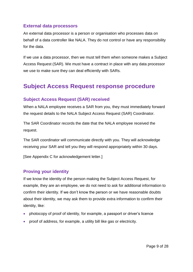#### <span id="page-8-0"></span>**External data processors**

An external data processor is a person or organisation who processes data on behalf of a data controller like NALA. They do not control or have any responsibility for the data.

If we use a data processor, then we must tell them when someone makes a Subject Access Request (SAR). We must have a contract in place with any data processor we use to make sure they can deal efficiently with SARs.

## <span id="page-8-1"></span>**Subject Access Request response procedure**

#### <span id="page-8-2"></span>**Subject Access Request (SAR) received**

When a NALA employee receives a SAR from you, they must immediately forward the request details to the NALA Subject Access Request (SAR) Coordinator.

The SAR Coordinator records the date that the NALA employee received the request.

The SAR coordinator will communicate directly with you. They will acknowledge receiving your SAR and tell you they will respond appropriately within 30 days.

<span id="page-8-3"></span>[See Appendix C for acknowledgement letter.]

#### **Proving your identity**

If we know the identity of the person making the Subject Access Request, for example, they are an employee, we do not need to ask for additional information to confirm their identity. If we don't know the person or we have reasonable doubts about their identity, we may ask them to provide extra information to confirm their identity, like:

- photocopy of proof of identity, for example, a passport or driver's licence
- proof of address, for example, a utility bill like gas or electricity.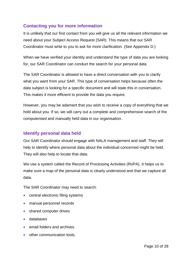#### <span id="page-9-0"></span>**Contacting you for more information**

It is unlikely that our first contact from you will give us all the relevant information we need about your Subject Access Request (SAR). This means that our SAR Coordinator must write to you to ask for more clarification. (See Appendix D.)

When we have verified your identity and understand the type of data you are looking for, our SAR Coordinator can conduct the search for your personal data.

The SAR Coordinator is allowed to have a direct conversation with you to clarify what you want from your SAR. This type of conversation helps because often the data subject is looking for a specific document and will state this in conversation. This makes it more efficient to provide the data you require.

However, you may be adamant that you wish to receive a copy of everything that we hold about you. If so, we will carry out a complete and comprehensive search of the computerised and manually held data in our organisation.

#### <span id="page-9-1"></span>**Identify personal data held**

Our SAR Coordinator should engage with NALA management and staff. They will help to identify where personal data about the individual concerned might be held. They will also help to locate that data.

We use a system called the Record of Processing Activities (RoPA). It helps us to make sure a map of the personal data is clearly understood and that we capture all data.

The SAR Coordinator may need to search:

- central electronic filing systems
- manual personnel records
- shared computer drives
- databases
- email folders and archives
- other communication tools.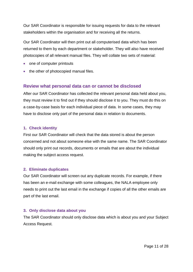Our SAR Coordinator is responsible for issuing requests for data to the relevant stakeholders within the organisation and for receiving all the returns.

Our SAR Coordinator will then print out all computerised data which has been returned to them by each department or stakeholder. They will also have received photocopies of all relevant manual files. They will collate two sets of material:

- one of computer printouts
- the other of photocopied manual files.

#### <span id="page-10-0"></span>**Review what personal data can or cannot be disclosed**

After our SAR Coordinator has collected the relevant personal data held about you, they must review it to find out if they should disclose it to you. They must do this on a case-by-case basis for each individual piece of data. In some cases, they may have to disclose only part of the personal data in relation to documents.

#### **1. Check identity**

First our SAR Coordinator will check that the data stored is about the person concerned and not about someone else with the same name. The SAR Coordinator should only print out records, documents or emails that are about the individual making the subject access request.

#### **2. Eliminate duplicates**

Our SAR Coordinator will screen out any duplicate records. For example, if there has been an e-mail exchange with some colleagues, the NALA employee only needs to print out the last email in the exchange if copies of all the other emails are part of the last email.

#### **3. Only disclose data about you**

The SAR Coordinator should only disclose data which is about you and your Subject Access Request.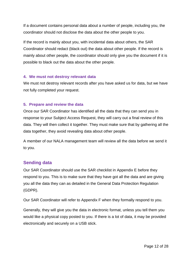If a document contains personal data about a number of people, including you, the coordinator should not disclose the data about the other people to you.

If the record is mainly about you, with incidental data about others, the SAR Coordinator should redact (black out) the data about other people. If the record is mainly about other people, the coordinator should only give you the document if it is possible to black out the data about the other people.

#### **4. We must not destroy relevant data**

We must not destroy relevant records after you have asked us for data, but we have not fully completed your request.

#### **5. Prepare and review the data**

Once our SAR Coordinator has identified all the data that they can send you in response to your Subject Access Request, they will carry out a final review of this data. They will then collect it together. They must make sure that by gathering all the data together, they avoid revealing data about other people.

A member of our NALA management team will review all the data before we send it to you.

#### <span id="page-11-0"></span>**Sending data**

Our SAR Coordinator should use the SAR checklist in Appendix E before they respond to you. This is to make sure that they have got all the data and are giving you all the data they can as detailed in the General Data Protection Regulation (GDPR).

Our SAR Coordinator will refer to Appendix F when they formally respond to you.

Generally, they will give you the data in electronic format, unless you tell them you would like a physical copy posted to you. If there is a lot of data, it may be provided electronically and securely on a USB stick.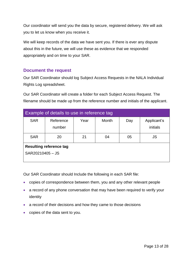Our coordinator will send you the data by secure, registered delivery. We will ask you to let us know when you receive it.

We will keep records of the data we have sent you. If there is ever any dispute about this in the future, we will use these as evidence that we responded appropriately and on time to your SAR.

#### <span id="page-12-0"></span>**Document the request**

Our SAR Coordinator should log Subject Access Requests in the NALA Individual Rights Log spreadsheet.

Our SAR Coordinator will create a folder for each Subject Access Request. The filename should be made up from the reference number and initials of the applicant.

| Example of details to use in reference tag         |  |      |              |     |                         |  |  |  |
|----------------------------------------------------|--|------|--------------|-----|-------------------------|--|--|--|
| <b>SAR</b><br>Reference<br>number                  |  | Year | <b>Month</b> | Day | Applicant's<br>initials |  |  |  |
| <b>SAR</b><br>20                                   |  | 21   | 04           | 05  | JS                      |  |  |  |
| <b>Resulting reference tag</b><br>SAR20210405 - JS |  |      |              |     |                         |  |  |  |

Our SAR Coordinator should Include the following in each SAR file:

- copies of correspondence between them, you and any other relevant people
- a record of any phone conversation that may have been required to verify your identity
- a record of their decisions and how they came to those decisions
- copies of the data sent to you.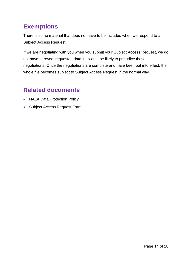## <span id="page-13-0"></span>**Exemptions**

There is some material that does not have to be included when we respond to a Subject Access Request.

If we are negotiating with you when you submit your Subject Access Request, we do not have to reveal requested data if it would be likely to prejudice those negotiations. Once the negotiations are complete and have been put into effect, the whole file becomes subject to Subject Access Request in the normal way.

## <span id="page-13-1"></span>**Related documents**

- NALA Data Protection Policy
- Subject Access Request Form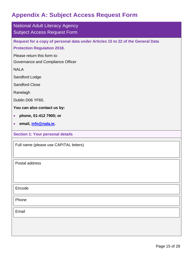## <span id="page-14-0"></span>**Appendix A: Subject Access Request Form**

| <b>National Adult Literacy Agency</b><br><b>Subject Access Request Form</b>                                           |
|-----------------------------------------------------------------------------------------------------------------------|
| Request for a copy of personal data under Articles 15 to 22 of the General Data<br><b>Protection Regulation 2018.</b> |
| Please return this form to:<br>Governance and Compliance Officer                                                      |
| <b>NALA</b>                                                                                                           |
| Sandford Lodge                                                                                                        |
| <b>Sandford Close</b>                                                                                                 |
| Ranelagh                                                                                                              |
| Dublin D06 YF65.                                                                                                      |
| You can also contact us by:                                                                                           |
| phone, 01-412 7900; or<br>$\bullet$                                                                                   |
| email, <i>info@nala.ie.</i><br>$\bullet$                                                                              |
| <b>Section 1: Your personal details</b>                                                                               |
| Full name (please use CAPITAL letters)                                                                                |
| Postal address                                                                                                        |
| Eircode                                                                                                               |
| Phone                                                                                                                 |
| Email                                                                                                                 |
|                                                                                                                       |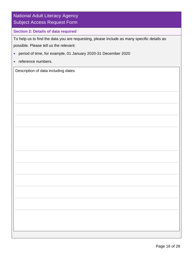| <b>National Adult Literacy Agency</b><br><b>Subject Access Request Form</b>                                                          |
|--------------------------------------------------------------------------------------------------------------------------------------|
| <b>Section 2: Details of data required</b>                                                                                           |
| To help us to find the data you are requesting, please include as many specific details as<br>possible. Please tell us the relevant: |
| period of time, for example, 01 January 2020-31 December 2020<br>$\bullet$                                                           |
| reference numbers.<br>$\bullet$                                                                                                      |
| Description of data including dates                                                                                                  |
|                                                                                                                                      |
|                                                                                                                                      |
|                                                                                                                                      |
|                                                                                                                                      |
|                                                                                                                                      |
|                                                                                                                                      |
|                                                                                                                                      |
|                                                                                                                                      |
|                                                                                                                                      |
|                                                                                                                                      |
|                                                                                                                                      |
|                                                                                                                                      |
|                                                                                                                                      |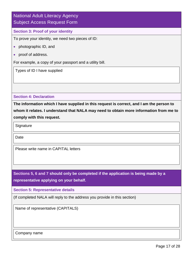#### National Adult Literacy Agency Subject Access Request Form

#### **Section 3: Proof of your identity**

To prove your identity, we need two pieces of ID:

- photographic ID, and
- proof of address.

For example, a copy of your passport and a utility bill.

Types of ID I have supplied

**Section 4: Declaration**

**The information which I have supplied in this request is correct, and I am the person to whom it relates. I understand that NALA may need to obtain more information from me to comply with this request.**

**Signature** 

**Date** 

Please write name in CAPITAL letters

**Sections 5, 6 and 7 should only be completed if the application is being made by a representative applying on your behalf.**

**Section 5: Representative details**

(If completed NALA will reply to the address you provide in this section)

Name of representative (CAPITALS)

Company name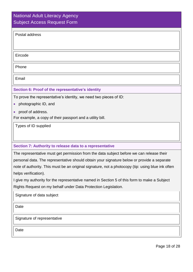#### National Adult Literacy Agency Subject Access Request Form

Eircode

Phone

Email

#### **Section 6: Proof of the representative's identity**

To prove the representative's identity, we need two pieces of ID:

- photographic ID, and
- proof of address.

For example, a copy of their passport and a utility bill.

Types of ID supplied

#### **Section 7: Authority to release data to a representative**

The representative must get permission from the data subject before we can release their personal data. The representative should obtain your signature below or provide a separate note of authority. This must be an original signature, not a photocopy (tip: using blue ink often helps verification).

I give my authority for the representative named in Section 5 of this form to make a Subject Rights Request on my behalf under Data Protection Legislation.

Signature of data subject

Date

Signature of representative

Date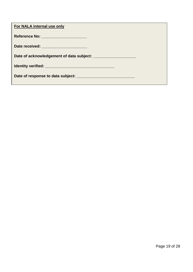| For NALA internal use only                                                                                      |  |
|-----------------------------------------------------------------------------------------------------------------|--|
| Reference No: ______________________                                                                            |  |
| Date received: _______________________                                                                          |  |
| Date of acknowledgement of data subject: National Contract of Assembly Date of acknowledgement of data subject: |  |
|                                                                                                                 |  |
|                                                                                                                 |  |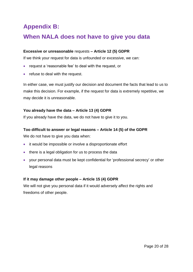## <span id="page-19-0"></span>**Appendix B:**

## **When NALA does not have to give you data**

#### **Excessive or unreasonable** requests **– Article 12 (5) GDPR**

If we think your request for data is unfounded or excessive, we can:

- request a 'reasonable fee' to deal with the request, or
- refuse to deal with the request.

In either case, we must justify our decision and document the facts that lead to us to make this decision. For example, if the request for data is extremely repetitive, we may decide it is unreasonable.

#### **You already have the data – Article 13 (4) GDPR**

If you already have the data, we do not have to give it to you.

#### **Too difficult to answer or legal reasons – Article 14 (5) of the GDPR**

We do not have to give you data when:

- it would be impossible or involve a disproportionate effort
- there is a legal obligation for us to process the data
- your personal data must be kept confidential for 'professional secrecy' or other legal reasons

#### **If it may damage other people – Article 15 (4) GDPR**

We will not give you personal data if it would adversely affect the rights and freedoms of other people.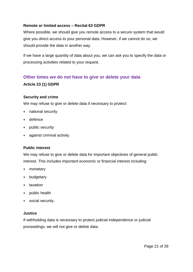#### **Remote or limited access – Recital 63 GDPR**

Where possible, we should give you remote access to a secure system that would give you direct access to your personal data. However, if we cannot do so, we should provide the data in another way.

If we have a large quantity of data about you, we can ask you to specify the data or processing activities related to your request.

#### <span id="page-20-0"></span>**Other times we do not have to give or delete your data**

#### **Article 23 (1) GDPR**

#### **Security and crime**

We may refuse to give or delete data if necessary to protect:

- national security
- defence
- public security
- against criminal activity.

#### **Public interest**

We may refuse to give or delete data for important objectives of general public interest. This includes important economic or financial interest including:

- monetary
- budgetary
- taxation
- public health
- social security.

#### **Justice**

If withholding data is necessary to protect judicial independence or judicial proceedings, we will not give or delete data.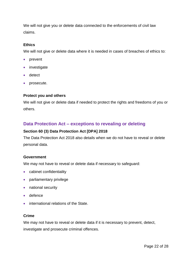We will not give you or delete data connected to the enforcements of civil law claims.

#### **Ethics**

We will not give or delete data where it is needed in cases of breaches of ethics to:

- prevent
- investigate
- detect
- prosecute.

#### **Protect you and others**

We will not give or delete data if needed to protect the rights and freedoms of you or others.

#### <span id="page-21-0"></span>**Data Protection Act – exceptions to revealing or deleting**

#### **Section 60 (3) Data Protection Act [DPA] 2018**

The Data Protection Act 2018 also details when we do not have to reveal or delete personal data.

#### **Government**

We may not have to reveal or delete data if necessary to safeguard:

- cabinet confidentiality
- parliamentary privilege
- national security
- defence
- international relations of the State.

#### **Crime**

We may not have to reveal or delete data if it is necessary to prevent, detect, investigate and prosecute criminal offences.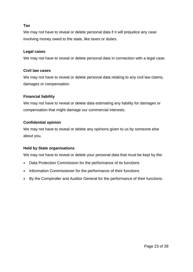#### **Tax**

We may not have to reveal or delete personal data if it will prejudice any case involving money owed to the state, like taxes or duties.

#### **Legal cases**

We may not have to reveal or delete personal data in connection with a legal case.

#### **Civil law cases**

We may not have to reveal or delete personal data relating to any civil law claims, damages or compensation.

#### **Financial liability**

We may not have to reveal or delete data estimating any liability for damages or compensation that might damage our commercial interests.

#### **Confidential opinion**

We may not have to reveal or delete any opinions given to us by someone else about you.

#### **Held by State organisations**

We may not have to reveal or delete your personal data that must be kept by the:

- Data Protection Commission for the performance of its functions
- Information Commissioner for the performance of their functions
- By the Comptroller and Auditor General for the performance of their functions.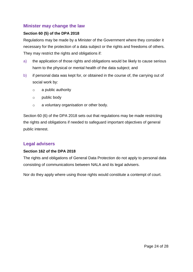#### <span id="page-23-0"></span>**Minister may change the law**

#### **Section 60 (5) of the DPA 2018**

Regulations may be made by a Minister of the Government where they consider it necessary for the protection of a data subject or the rights and freedoms of others. They may restrict the rights and obligations if:

- a) the application of those rights and obligations would be likely to cause serious harm to the physical or mental health of the data subject; and
- b) if personal data was kept for, or obtained in the course of, the carrying out of social work by:
	- o a public authority
	- o public body
	- o a voluntary organisation or other body.

Section 60 (6) of the DPA 2018 sets out that regulations may be made restricting the rights and obligations if needed to safeguard important objectives of general public interest.

#### <span id="page-23-1"></span>**Legal advisers**

#### **Section 162 of the DPA 2018**

The rights and obligations of General Data Protection do not apply to personal data consisting of communications between NALA and its legal advisers.

Nor do they apply where using those rights would constitute a contempt of court.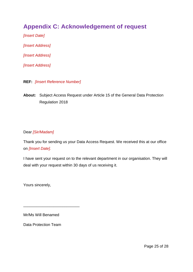## <span id="page-24-0"></span>**Appendix C: Acknowledgement of request**

*[Insert Date] [Insert Address] [Insert Address] [Insert Address]*

- **REF:** *[Insert Reference Number]*
- **About:** Subject Access Request under Article 15 of the General Data Protection Regulation 2018

#### Dear *[Sir/Madam]*

Thank you for sending us your Data Access Request. We received this at our office on *[Insert Date].*

I have sent your request on to the relevant department in our organisation. They will deal with your request within 30 days of us receiving it.

Yours sincerely,

Mr/Ms Will Benamed

\_\_\_\_\_\_\_\_\_\_\_\_\_\_\_\_\_\_\_\_\_\_\_\_\_\_

Data Protection Team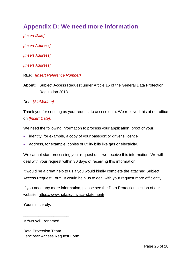## <span id="page-25-0"></span>**Appendix D: We need more information**

*[Insert Date]*

*[Insert Address]*

*[Insert Address]*

*[Insert Address]*

- **REF:** *[Insert Reference Number]*
- **About:** Subject Access Request under Article 15 of the General Data Protection Regulation 2018

#### Dear *[Sir/Madam]*

Thank you for sending us your request to access data. We received this at our office on *[Insert Date].*

We need the following information to process your application, proof of your:

- identity, for example, a copy of your passport or driver's licence
- address, for example, copies of utility bills like gas or electricity.

We cannot start processing your request until we receive this information. We will deal with your request within 30 days of receiving this information.

It would be a great help to us if you would kindly complete the attached Subject Access Request Form. It would help us to deal with your request more efficiently.

If you need any more information, please see the Data Protection section of our website:<https://www.nala.ie/privacy-statement/>

Yours sincerely,

Mr/Ms Will Benamed

\_\_\_\_\_\_\_\_\_\_\_\_\_\_\_\_\_\_\_\_\_

Data Protection Team I enclose: Access Request Form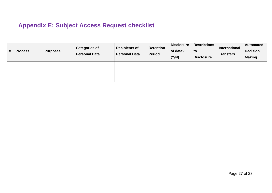## **Appendix E: Subject Access Request checklist**

<span id="page-26-0"></span>

| # | <b>Process</b> | <b>Purposes</b> | <b>Categories of</b><br><b>Personal Data</b> | <b>Recipients of</b><br><b>Personal Data</b> | <b>Retention</b><br><b>Period</b> | <b>Disclosure</b><br>of data?<br>(Y/N) | <b>Restrictions</b><br>to<br><b>Disclosure</b> | International<br><b>Transfers</b> | <b>Automated</b><br><b>Decision</b><br><b>Making</b> |
|---|----------------|-----------------|----------------------------------------------|----------------------------------------------|-----------------------------------|----------------------------------------|------------------------------------------------|-----------------------------------|------------------------------------------------------|
|   |                |                 |                                              |                                              |                                   |                                        |                                                |                                   |                                                      |
|   |                |                 |                                              |                                              |                                   |                                        |                                                |                                   |                                                      |
|   |                |                 |                                              |                                              |                                   |                                        |                                                |                                   |                                                      |